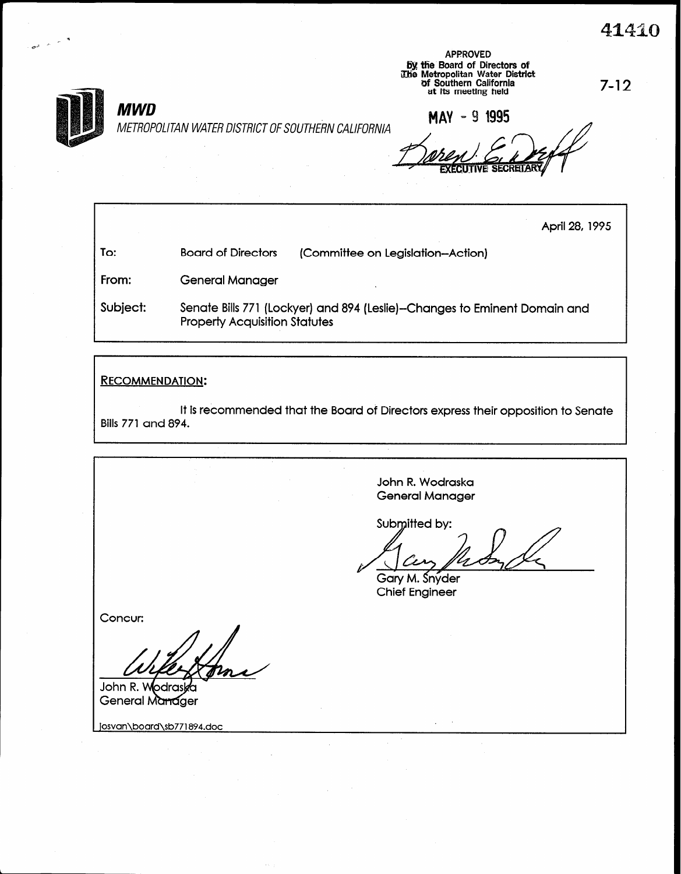To:

4

# MWD

METROPOLITAN WATER DISTRICT OF SOUTHERN CALIFORNIA

**APPROVED** by the Board of Directors of<br>
The Metropolitan Water District<br>
of Southern California<br>
at its meeting held at at its meeting held

MAY - 9 1995

Executive secreta

April 28,1995

From: General Manager

Subject: Senate Bills 771 (Lockyer) and 894 (Leslie)-Changes to Eminent Domain and Property Acquisition Statutes

Board of Directors (Committee on Legislation-Action)

## RECOMMENDATION:

It is recommended that the Board of Directors express their opposition to Senate Bills 771 and 894.

John R. Wodraska General Manager Submitted by: Gary M. Snyder Chief Engineer

John R. W lodra: General Manager

Concur:

josvan\board\sb771894.doc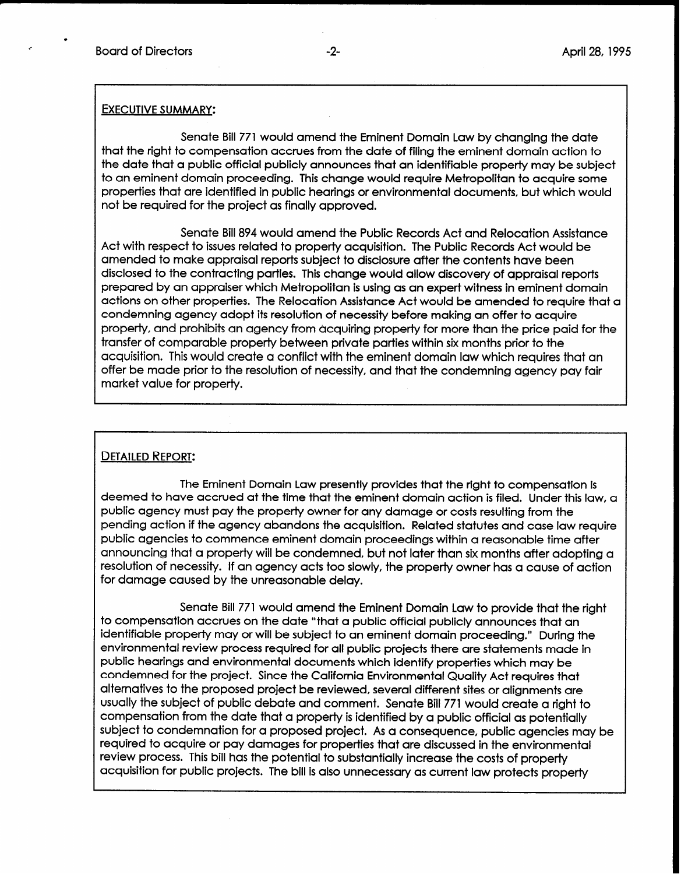.

#### EXECUTIVE SUMMARY:

Senate Bill 771 would amend the Eminent Domain Law by changing the date that the right to compensation accrues from the date of filing the eminent domain action to the date that a public official publicly announces that an identifiable property may be subject to an eminent domain proceeding. This change would require Metropolitan to acquire some properties that are identified in public hearings or environmental documents, but which would not be required for the project as finally approved.

Senate Bill 894 would amend the Public Records Act and Relocation Assistance Act with respect to issues related to property acquisition. The Public Records Act would be amended to make appraisal reports subject to disclosure after the contents have been disclosed to the contracting parties. This change would allow discovery of appraisal reports prepared by an appraiser which Metropolitan is using as an expert witness in eminent domain actions on other properties. The Relocation Assistance Act would be amended to require that a condemning agency adopt its resolution of necessity before making an offer to acquire property, and prohibits an agency from acquiring property for more than the price paid for the transfer of comparable property between private parties within six months prior to the acquisition. This would create a conflict with the eminent domain law which requires that an offer be made prior to the resolution of necessity, and that the condemning agency pay fair market value for property.

### DETAILED REPORT:

The Eminent Domain Law presently provides that the right to compensation is deemed to have accrued at the time that the eminent domain action is filed. Under this law, a public agency must pay the property owner for any damage or costs resulting from the pending action if the agency abandons the acquisition. Related statutes and case law require public agencies to commence eminent domain proceedings within a reasonable time after announcing that a property will be condemned, but not later than six months after adopting a resolution of necessity. If an agency acts too slowly, the property owner has a cause of action For damage caused by the unreasonable delay.

Senate Bill 771 would amend the Eminent Domain Law to provide that the right to compensation accrues on the date "that a public official publicly announces that an identifiable property may or will be subject to an eminent domain proceeding." During the environmental review process required for all public projects there are statements made in public hearings and environmental documents which identify properties which may be condemned for the project. Since the California Environmental Quality Act requires that alternatives to the proposed project be reviewed, several different sites or alignments are usually the subject of public debate and comment. Senate Bill 771 would create a right to compensation from the date that a property is identified by a public official as potentially subject to condemnation for a proposed project. As a consequence, public agencies may be required to acquire or pay damages for properties that are discussed in the environmental review process. This bill has the potential to substantially increase the costs of property acquisition for public projects. The bill is also unnecessary as current law protects property